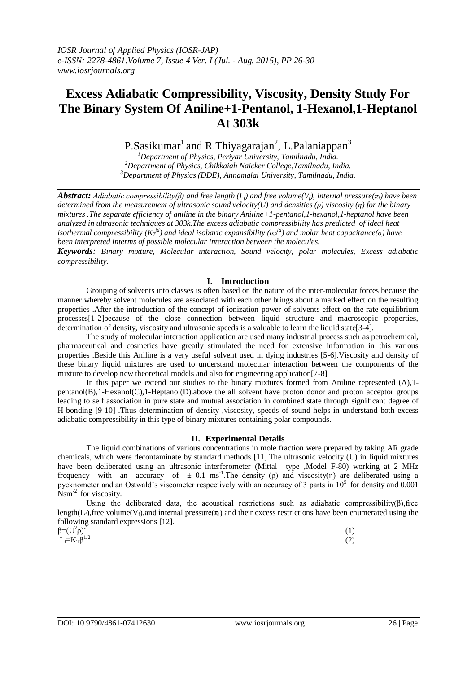# **Excess Adiabatic Compressibility, Viscosity, Density Study For The Binary System Of Aniline+1-Pentanol, 1-Hexanol,1-Heptanol At 303k**

P.Sasikumar $^1$  and R.Thiyagarajan<sup>2</sup>, L.Palaniappan<sup>3</sup>

*<sup>1</sup>Department of Physics, Periyar University, Tamilnadu, India. <sup>2</sup>Department of Physics, Chikkaiah Naicker College,Tamilnadu, India. <sup>3</sup>Department of Physics (DDE), Annamalai University, Tamilnadu, India.*

*Abstract: Adiabatic compressibility(β)* and free length  $(L_f)$  and free volume( $V_f$ ), internal pressure( $\pi_i$ ) have been *determined from the measurement of ultrasonic sound velocity(U) and densities (ρ) viscosity (η) for the binary mixtures .The separate efficiency of aniline in the binary Aniline+1-pentanol,1-hexanol,1-heptanol have been analyzed in ultrasonic techniques at 303k.The excess adiabatic compressibility has predicted of ideal heat isothermal compressibility (K<sub>I</sub><sup>id</sup>) and ideal isobaric expansibility (* $\alpha_P^{id}$ *) and molar heat capacitance(* $\sigma$ *) have been interpreted interms of possible molecular interaction between the molecules.*

*Keywords: Binary mixture, Molecular interaction, Sound velocity, polar molecules, Excess adiabatic compressibility.*

# **I. Introduction**

Grouping of solvents into classes is often based on the nature of the inter-molecular forces because the manner whereby solvent molecules are associated with each other brings about a marked effect on the resulting properties .After the introduction of the concept of ionization power of solvents effect on the rate equilibrium processes[1-2]because of the close connection between liquid structure and macroscopic properties, determination of density, viscosity and ultrasonic speeds is a valuable to learn the liquid state[3-4].

The study of molecular interaction application are used many industrial process such as petrochemical, pharmaceutical and cosmetics have greatly stimulated the need for extensive information in this various properties .Beside this Aniline is a very useful solvent used in dying industries [5-6].Viscosity and density of these binary liquid mixtures are used to understand molecular interaction between the components of the mixture to develop new theoretical models and also for engineering application[7-8]

In this paper we extend our studies to the binary mixtures formed from Aniline represented  $(A)$ ,1pentanol(B),1-Hexanol(C),1-Heptanol(D).above the all solvent have proton donor and proton acceptor groups leading to self association in pure state and mutual association in combined state through significant degree of H-bonding [9-10] .Thus determination of density viscosity, speeds of sound helps in understand both excess adiabatic compressibility in this type of binary mixtures containing polar compounds.

# **II. Experimental Details**

The liquid combinations of various concentrations in mole fraction were prepared by taking AR grade chemicals, which were decontaminate by standard methods [11].The ultrasonic velocity (U) in liquid mixtures have been deliberated using an ultrasonic interferometer (Mittal type ,Model F-80) working at 2 MHz frequency with an accuracy of  $\pm$  0.1 ms<sup>-1</sup>. The density (ρ) and viscosity(η) are deliberated using a pycknometer and an Ostwald's viscometer respectively with an accuracy of 3 parts in  $10^5$  for density and 0.001  $N$ sm<sup>-2</sup> for viscosity.

Using the deliberated data, the acoustical restrictions such as adiabatic compressibility( $\beta$ ), free length(L<sub>f</sub>),free volume(V<sub>f</sub>),and internal pressure( $\pi$ <sub>i</sub>) and their excess restrictions have been enumerated using the following standard expressions [12].

β=( $U^2$ ρ)<sup>-1</sup>  $L_f=K_T\acute{\beta}^{1/2}$ 

(1)  $1/2$  (2)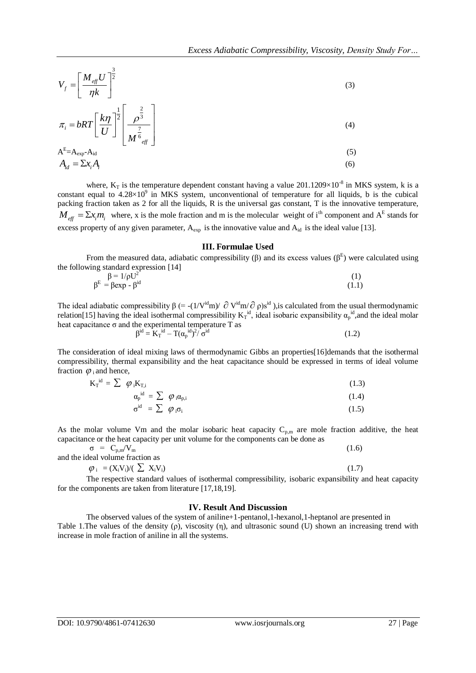$$
V_f = \left[\frac{M_{\text{eff}}U}{\eta k}\right]^{\frac{3}{2}}
$$
 (3)

$$
\pi_i = bRT \left[ \frac{k\eta}{U} \right]^{\frac{1}{2}} \left[ \frac{\rho^{\frac{2}{3}}}{M^{\frac{7}{6}}_{\text{eff}}} \right]
$$
\n(4)

$$
A^{E}=A_{exp}-A_{id}
$$
\n
$$
A_{id} = \sum x_i A_i
$$
\n(5)

 $V_j = \left[\frac{M_S U}{\eta k}\right]^2$ <br>  $\sigma_i = bRT \left[\frac{kT}{M^2}\right]^2$ <br>  $\sigma_i = bRT \left[\frac{kT}{M^2}\right]^2$ <br>  $A^2 = \frac{1}{2\pi k^2}$ <br>  $A^2 = \frac{1}{2\pi k^2}$ <br>  $A^2 = \frac{1}{2\pi k^2}$ <br>  $A^2 = \frac{1}{2\pi k^2}$ <br>  $A^2 = \frac{1}{2\pi k^2}$ <br>  $A^2 = \frac{1}{2\pi k^2}$ <br>  $A^2 = \frac{1}{2\pi k^2}$ <br>  $A^2 = \frac{1}{$ where,  $K_T$  is the temperature dependent constant having a value 201.1209 $\times$ 10<sup>-8</sup> in MKS system, k is a constant equal to  $4.28\times10^{9}$  in MKS system, unconventional of temperature for all liquids, b is the cubical packing fraction taken as 2 for all the liquids, R is the universal gas constant, T is the innovative temperature,  $M_{\text{eff}} = \sum x_i m_i$  where, x is the mole fraction and m is the molecular weight of i<sup>th</sup> component and A<sup>E</sup> stands for excess property of any given parameter,  $A_{exp}$  is the innovative value and  $A_{id}$  is the ideal value [13].

#### **III. Formulae Used**

From the measured data, adiabatic compressibility ( $\beta$ ) and its excess values ( $\beta^E$ ) were calculated using the following standard expression [14]

$$
\beta = 1/\rho U^2
$$
\n
$$
\beta^E = \beta \exp - \beta^{id}
$$
\n(1)

The ideal adiabatic compressibility  $\beta$  (= -(1/V<sup>id</sup>m)/  $\partial$  V<sup>id</sup>m/ $\partial$   $\rho$ )s<sup>id</sup>), is calculated from the usual thermodynamic relation[15] having the ideal isothermal compressibility  $K_T^{id}$ , ideal isobaric expansibility  $\alpha_p^{id}$ , and the ideal molar heat capacitance  $\sigma$  and the experimental temperature T as β

$$
\beta^{\rm id} = \mathbf{K}_{\rm T}^{\ \rm id} - T(\alpha_{\rm p}^{\ \rm id})^2 / \sigma^{\rm id} \tag{1.2}
$$

The consideration of ideal mixing laws of thermodynamic Gibbs an properties[16]demands that the isothermal compressibility, thermal expansibility and the heat capacitance should be expressed in terms of ideal volume fraction  $\varphi$ <sub>i</sub> and hence,

$$
K_{T}^{\text{id}} = \sum \varphi_{i} K_{T,i} \tag{1.3}
$$

$$
\alpha_{\rm p}^{\rm id} = \sum \varphi_{\rm i} \alpha_{\rm p,i} \tag{1.4}
$$

$$
\sigma^{\rm id} = \sum \varphi_i \sigma_i \tag{1.5}
$$

As the molar volume Vm and the molar isobaric heat capacity  $C_{p,m}$  are mole fraction additive, the heat capacitance or the heat capacity per unit volume for the components can be done as

$$
\sigma = C_{p,m}/V_m
$$
  
and the ideal volume fraction as (1.6)

$$
\varphi_i = (X_i V_i) / (\sum X_i V_i) \tag{1.7}
$$

The respective standard values of isothermal compressibility, isobaric expansibility and heat capacity for the components are taken from literature [17,18,19].

### **IV. Result And Discussion**

The observed values of the system of aniline+1-pentanol,1-hexanol,1-heptanol are presented in Table 1.The values of the density (ρ), viscosity (η), and ultrasonic sound (U) shown an increasing trend with increase in mole fraction of aniline in all the systems.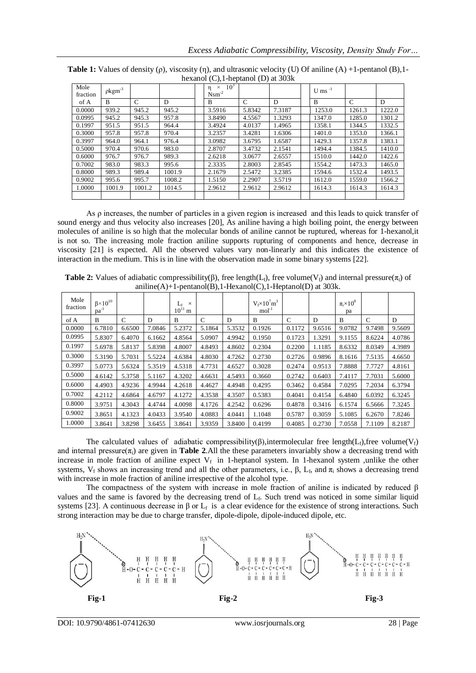| Mole<br>fraction | $pkgm-3$ |               |        | 10 <sup>3</sup><br>$\times$<br>n<br>$N$ sm <sup>-2</sup> |        |        | U ms $^{-1}$ |        |        |
|------------------|----------|---------------|--------|----------------------------------------------------------|--------|--------|--------------|--------|--------|
| of A             | B        | $\mathcal{C}$ | D      | B                                                        | C      | D      | B            | C      | D      |
| 0.0000           | 939.2    | 945.2         | 945.2  | 3.5916                                                   | 5.8342 | 7.3187 | 1253.0       | 1261.3 | 1222.0 |
| 0.0995           | 945.2    | 945.3         | 957.8  | 3.8490                                                   | 4.5567 | 1.3293 | 1347.0       | 1285.0 | 1301.2 |
| 0.1997           | 951.5    | 951.5         | 964.4  | 3.4924                                                   | 4.0137 | 1.4965 | 1358.1       | 1344.5 | 1332.5 |
| 0.3000           | 957.8    | 957.8         | 970.4  | 3.2357                                                   | 3.4281 | 1.6306 | 1401.0       | 1353.0 | 1366.1 |
| 0.3997           | 964.0    | 964.1         | 976.4  | 3.0982                                                   | 3.6795 | 1.6587 | 1429.3       | 1357.8 | 1383.1 |
| 0.5000           | 970.4    | 970.6         | 983.0  | 2.8707                                                   | 3.4732 | 2.1541 | 1494.4       | 1384.5 | 1410.0 |
| 0.6000           | 976.7    | 976.7         | 989.3  | 2.6218                                                   | 3.0677 | 2.6557 | 1510.0       | 1442.0 | 1422.6 |
| 0.7002           | 983.0    | 983.3         | 995.6  | 2.3335                                                   | 2.8003 | 2.8545 | 1554.2       | 1473.3 | 1465.0 |
| 0.8000           | 989.3    | 989.4         | 1001.9 | 2.1679                                                   | 2.5472 | 3.2385 | 1594.6       | 1532.4 | 1493.5 |
| 0.9002           | 995.6    | 995.7         | 1008.2 | 1.5150                                                   | 2.2907 | 3.5719 | 1612.0       | 1559.0 | 1566.2 |
| 1.0000           | 1001.9   | 1001.2        | 1014.5 | 2.9612                                                   | 2.9612 | 2.9612 | 1614.3       | 1614.3 | 1614.3 |
|                  |          |               |        |                                                          |        |        |              |        |        |

**Table 1:** Values of density (ρ), viscosity (η), and ultrasonic velocity (U) Of aniline (A) +1-pentanol (B),1 hexanol (C),1-heptanol (D) at 303k

As ρ increases, the number of particles in a given region is increased and this leads to quick transfer of sound energy and thus velocity also increases [20], As aniline having a high boiling point, the energy between molecules of aniline is so high that the molecular bonds of aniline cannot be ruptured, whereas for 1-hexanol,it is not so. The increasing mole fraction aniline supports rupturing of components and hence, decrease in viscosity [21] is expected. All the observed values vary non-linearly and this indicates the existence of interaction in the medium. This is in line with the observation made in some binary systems [22].

| <b>Table 2:</b> Values of adiabatic compressibility( $\beta$ ), free length( $L_i$ ), free volume( $V_i$ ) and internal pressure( $\pi_i$ ) of |
|------------------------------------------------------------------------------------------------------------------------------------------------|
| $aniline(A)+1-pentanol(B),1-Hexanol(C),1-Heptanol(D)$ at 303k.                                                                                 |

| Mole<br>fraction | $\beta \times 10^{10}$<br>$pa^{-1}$ |               |        | $\times$<br>$L_f$<br>$10^{11}$<br>m |        |        | $V_f \times 10^7$ m <sup>3</sup><br>$mol-1$ |        |        | $\pi$ <sub>i</sub> $\times$ 10 <sup>8</sup><br>pa |        |        |
|------------------|-------------------------------------|---------------|--------|-------------------------------------|--------|--------|---------------------------------------------|--------|--------|---------------------------------------------------|--------|--------|
| of A             | B                                   | $\mathcal{C}$ | D      | B                                   | C      | D      | B                                           | C      | D      | B                                                 | C      | D      |
| 0.0000           | 6.7810                              | 6.6500        | 7.0846 | 5.2372                              | 5.1864 | 5.3532 | 0.1926                                      | 0.1172 | 9.6516 | 9.0782                                            | 9.7498 | 9.5609 |
| 0.0995           | 5.8307                              | 6.4070        | 6.1662 | 4.8564                              | 5.0907 | 4.9942 | 0.1950                                      | 0.1723 | 1.3291 | 9.1155                                            | 8.6224 | 4.0786 |
| 0.1997           | 5.6978                              | 5.8137        | 5.8398 | 4.8007                              | 4.8493 | 4.8602 | 0.2304                                      | 0.2200 | 1.1185 | 8.6332                                            | 8.0349 | 4.3989 |
| 0.3000           | 5.3190                              | 5.7031        | 5.5224 | 4.6384                              | 4.8030 | 4.7262 | 0.2730                                      | 0.2726 | 0.9896 | 8.1616                                            | 7.5135 | 4.6650 |
| 0.3997           | 5.0773                              | 5.6324        | 5.3519 | 4.5318                              | 4.7731 | 4.6527 | 0.3028                                      | 0.2474 | 0.9513 | 7.8888                                            | 7.7727 | 4.8161 |
| 0.5000           | 4.6142                              | 5.3758        | 5.1167 | 4.3202                              | 4.6631 | 4.5493 | 0.3660                                      | 0.2742 | 0.6403 | 7.4117                                            | 7.7031 | 5.6000 |
| 0.6000           | 4.4903                              | 4.9236        | 4.9944 | 4.2618                              | 4.4627 | 4.4948 | 0.4295                                      | 0.3462 | 0.4584 | 7.0295                                            | 7.2034 | 6.3794 |
| 0.7002           | 4.2112                              | 4.6864        | 4.6797 | 4.1272                              | 4.3538 | 4.3507 | 0.5383                                      | 0.4041 | 0.4154 | 6.4840                                            | 6.0392 | 6.3245 |
| 0.8000           | 3.9751                              | 4.3043        | 4.4744 | 4.0098                              | 4.1726 | 4.2542 | 0.6296                                      | 0.4878 | 0.3416 | 6.1574                                            | 6.5666 | 7.3245 |
| 0.9002           | 3.8651                              | 4.1323        | 4.0433 | 3.9540                              | 4.0883 | 4.0441 | 1.1048                                      | 0.5787 | 0.3059 | 5.1085                                            | 6.2670 | 7.8246 |
| 1.0000           | 3.8641                              | 3.8298        | 3.6455 | 3.8641                              | 3.9359 | 3.8400 | 0.4199                                      | 0.4085 | 0.2730 | 7.0558                                            | 7.1109 | 8.2187 |

The calculated values of adiabatic compressibility(β),intermolecular free length( $L_f$ ),free volume( $V_f$ ) and internal pressure( $\pi_i$ ) are given in **Table 2**.All the these parameters invariably show a decreasing trend with increase in mole fraction of aniline expect  $V_f$  in 1-heptanol system. In 1-hexanol system ,unlike the other systems,  $V_f$  shows an increasing trend and all the other parameters, i.e.,  $\beta$ ,  $L_f$ , and  $\pi_i$  shows a decreasing trend with increase in mole fraction of aniline irrespective of the alcohol type.

The compactness of the system with increase in mole fraction of aniline is indicated by reduced  $\beta$ values and the same is favored by the decreasing trend of  $L_f$ . Such trend was noticed in some similar liquid systems [23]. A continuous decrease in  $\beta$  or  $L_f$  is a clear evidence for the existence of strong interactions. Such strong interaction may be due to charge transfer, dipole-dipole, dipole-induced dipole, etc.



DOI: 10.9790/4861-07412630 www.iosrjournals.org 28 | Page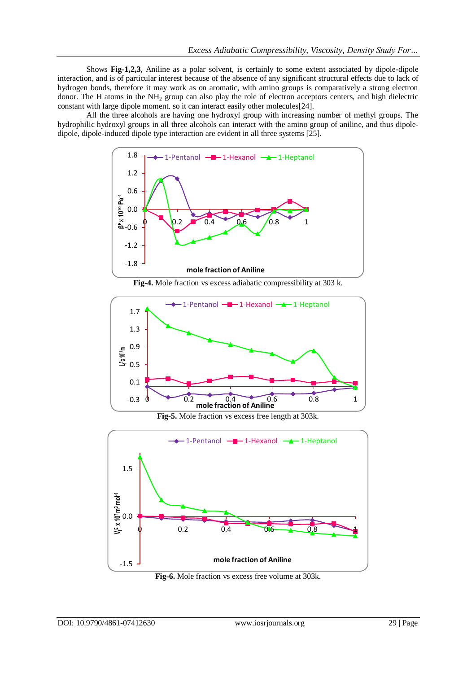Shows **Fig-1,2,3**, Aniline as a polar solvent, is certainly to some extent associated by dipole-dipole interaction, and is of particular interest because of the absence of any significant structural effects due to lack of hydrogen bonds, therefore it may work as on aromatic, with amino groups is comparatively a strong electron donor. The H atoms in the NH<sup>2</sup> group can also play the role of electron acceptors centers, and high dielectric constant with large dipole moment. so it can interact easily other molecules[24].

All the three alcohols are having one hydroxyl group with increasing number of methyl groups. The hydrophilic hydroxyl groups in all three alcohols can interact with the amino group of aniline, and thus dipoledipole, dipole-induced dipole type interaction are evident in all three systems [25].



**Fig-4.** Mole fraction vs excess adiabatic compressibility at 303 k.



**Fig-5.** Mole fraction vs excess free length at 303k.



**Fig-6.** Mole fraction vs excess free volume at 303k.